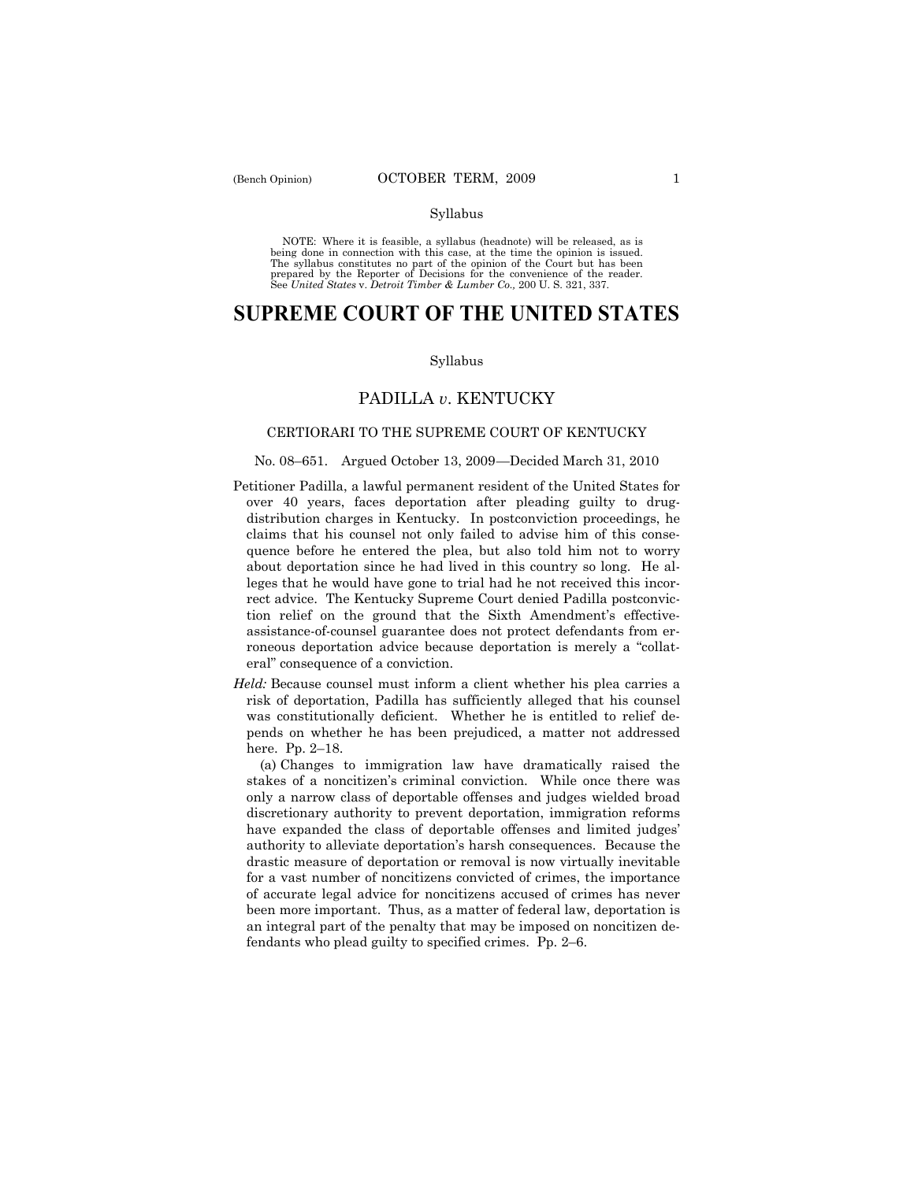#### Syllabus

NOTE: Where it is feasible, a syllabus (headnote) will be released, as is being done in connection with this case, at the time the opinion is issued. The syllabus constitutes no part of the opinion of the Court but has been<br>prepared by the Reporter of Decisions for the convenience of the reader.<br>See United States v. Detroit Timber & Lumber Co., 200 U. S. 321, 337.

# **SUPREME COURT OF THE UNITED STATES**

#### Syllabus

# PADILLA *v*. KENTUCKY

# CERTIORARI TO THE SUPREME COURT OF KENTUCKY

### No. 08–651. Argued October 13, 2009 —Decided March 31, 2010

- Petitioner Padilla, a lawful permanent resident of the United States for over 40 years, faces deportation after pleading guilty to drugdistribution charges in Kentucky. In postconviction proceedings, he claims that his counsel not only failed to advise him of this consequence before he entered the plea, but also told him not to worry about deportation since he had lived in this country so long. He alleges that he would have gone to trial had he not received this incorrect advice. The Kentucky Supreme Court denied Padilla postconviction relief on the ground that the Sixth Amendment's effectiveassistance-of-counsel guarantee does not protect defendants from erroneous deportation advice because deportation is merely a "collateral" consequence of a conviction.
- *Held:* Because counsel must inform a client whether his plea carries a risk of deportation, Padilla has sufficiently alleged that his counsel was constitutionally deficient. Whether he is entitled to relief depends on whether he has been prejudiced, a matter not addressed here. Pp. 2–18.

 (a) Changes to immigration law have dramatically raised the stakes of a noncitizen's criminal conviction. While once there was only a narrow class of deportable offenses and judges wielded broad discretionary authority to prevent deportation, immigration reforms have expanded the class of deportable offenses and limited judges' authority to alleviate deportation's harsh consequences. Because the drastic measure of deportation or removal is now virtually inevitable for a vast number of noncitizens convicted of crimes, the importance of accurate legal advice for noncitizens accused of crimes has never been more important. Thus, as a matter of federal law, deportation is an integral part of the penalty that may be imposed on noncitizen defendants who plead guilty to specified crimes. Pp. 2–6.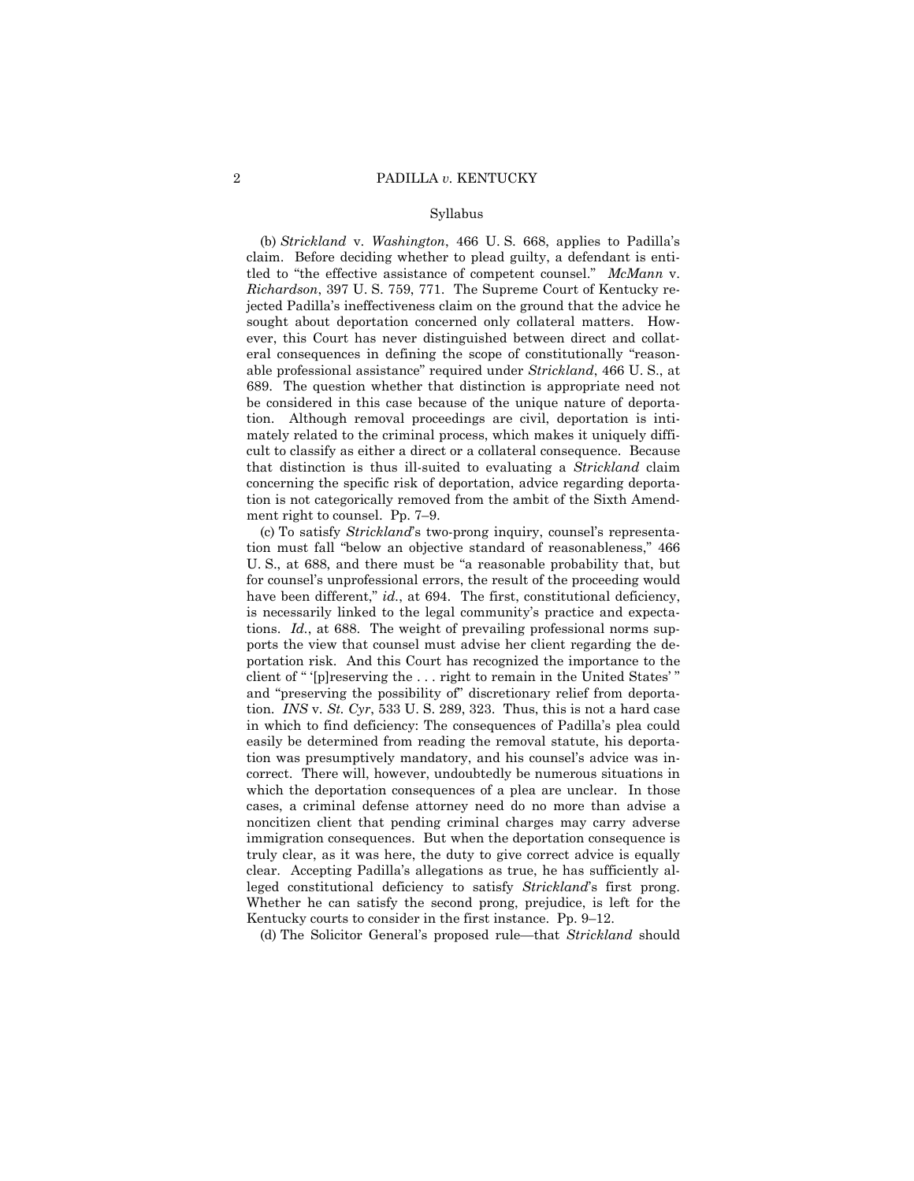#### Syllabus

 (b) *Strickland* v. *Washington*, 466 U. S. 668, applies to Padilla's claim. Before deciding whether to plead guilty, a defendant is entitled to "the effective assistance of competent counsel." *McMann* v. *Richardson*, 397 U. S. 759, 771. The Supreme Court of Kentucky rejected Padilla's ineffectiveness claim on the ground that the advice he sought about deportation concerned only collateral matters. However, this Court has never distinguished between direct and collateral consequences in defining the scope of constitutionally "reasonable professional assistance" required under *Strickland*, 466 U. S., at 689. The question whether that distinction is appropriate need not be considered in this case because of the unique nature of deportation. Although removal proceedings are civil, deportation is intimately related to the criminal process, which makes it uniquely difficult to classify as either a direct or a collateral consequence. Because that distinction is thus ill-suited to evaluating a *Strickland* claim concerning the specific risk of deportation, advice regarding deportation is not categorically removed from the ambit of the Sixth Amendment right to counsel. Pp. 7–9.

 (c) To satisfy *Strickland*'s two-prong inquiry, counsel's representation must fall "below an objective standard of reasonableness," 466 U. S., at 688, and there must be "a reasonable probability that, but for counsel's unprofessional errors, the result of the proceeding would have been different," *id.*, at 694. The first, constitutional deficiency, is necessarily linked to the legal community's practice and expectations. *Id.*, at 688. The weight of prevailing professional norms supports the view that counsel must advise her client regarding the deportation risk. And this Court has recognized the importance to the client of " '[p]reserving the . . . right to remain in the United States' " and "preserving the possibility of" discretionary relief from deportation. *INS* v. *St. Cyr*, 533 U. S. 289, 323. Thus, this is not a hard case in which to find deficiency: The consequences of Padilla's plea could easily be determined from reading the removal statute, his deportation was presumptively mandatory, and his counsel's advice was incorrect. There will, however, undoubtedly be numerous situations in which the deportation consequences of a plea are unclear. In those cases, a criminal defense attorney need do no more than advise a noncitizen client that pending criminal charges may carry adverse immigration consequences. But when the deportation consequence is truly clear, as it was here, the duty to give correct advice is equally clear. Accepting Padilla's allegations as true, he has sufficiently alleged constitutional deficiency to satisfy *Strickland*'s first prong. Whether he can satisfy the second prong, prejudice, is left for the Kentucky courts to consider in the first instance. Pp. 9–12.

(d) The Solicitor General's proposed rule—that *Strickland* should